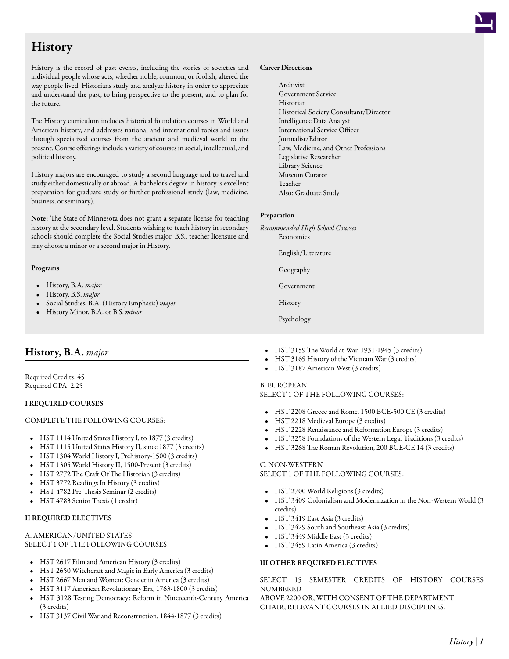# **History**

History is the record of past events, including the stories of societies and individual people whose acts, whether noble, common, or foolish, altered the way people lived. Historians study and analyze history in order to appreciate and understand the past, to bring perspective to the present, and to plan for the future.

The History curriculum includes historical foundation courses in World and American history, and addresses national and international topics and issues through specialized courses from the ancient and medieval world to the present. Course offerings include a variety of courses in social, intellectual, and political history.

History majors are encouraged to study a second language and to travel and study either domestically or abroad. A bachelor's degree in history is excellent preparation for graduate study or further professional study (law, medicine, business, or seminary).

Note: The State of Minnesota does not grant a separate license for teaching history at the secondary level. Students wishing to teach history in secondary schools should complete the Social Studies major, B.S., teacher licensure and may choose a minor or a second major in History.

# Programs

- History, B.A. *major*
- History, B.S. *major*
- Social Studies, B.A. (History Emphasis) *major*
- History Minor, B.A. or B.S. *minor*

# History, B.A. *major*

Required Credits: 45 Required GPA: 2.25

# I REQUIRED COURSES

# COMPLETE THE FOLLOWING COURSES:

- HST 1114 [United States History I, to 1877](/academics/catalog/20145/courses/hst/1114) (3 credits)
- HST 1115 [United States History II, since 1877](/academics/catalog/20145/courses/hst/1115) (3 credits)
- HST 1304 [World History I, Prehistory-1500](/academics/catalog/20145/courses/hst/1304) (3 credits)
- HST 1305 [World History II, 1500-Present](/academics/catalog/20145/courses/hst/1305) (3 credits)
- HST 2772 [The Craft Of The Historian](/academics/catalog/20145/courses/hst/2772) (3 credits)
- HST 3772 [Readings In History](/academics/catalog/20145/courses/hst/3772) (3 credits)
- HST 4782 [Pre-Thesis Seminar](/academics/catalog/20145/courses/hst/4782) (2 credits)
- HST 4783 [Senior Thesis](/academics/catalog/20145/courses/hst/4783) (1 credit)

# II REQUIRED ELECTIVES

#### A. AMERICAN/UNITED STATES SELECT 1 OF THE FOLLOWING COURSES:

- HST 2617 [Film and American History](/academics/catalog/20145/courses/hst/2617) (3 credits)
- HST 2650 [Witchcraft and Magic in Early America](/academics/catalog/20145/courses/hst/2650) (3 credits)
- HST 2667 [Men and Women: Gender in America](/academics/catalog/20145/courses/hst/2667) (3 credits)
- HST 3117 [American Revolutionary Era, 1763-1800](/academics/catalog/20145/courses/hst/3117) (3 credits)
- HST 3128 [Testing Democracy: Reform in Nineteenth-Century America](/academics/catalog/20145/courses/hst/3128) (3 credits)
- HST 3137 [Civil War and Reconstruction, 1844-1877](/academics/catalog/20145/courses/hst/3137) (3 credits)

#### Career Directions

Archivist Government Service Historian Historical Society Consultant/Director Intelligence Data Analyst International Service Officer Journalist/Editor Law, Medicine, and Other Professions Legislative Researcher Library Science Museum Curator Teacher Also: Graduate Study

# Preparation

- *Recommended High School Courses* Economics
	- English/Literature
	- Geography
	- Government
	- History
	- Psychology
- HST 3159 [The World at War, 1931-1945](/academics/catalog/20145/courses/hst/3159) (3 credits)
- HST 3169 [History of the Vietnam War](/academics/catalog/20145/courses/hst/3169) (3 credits)
- HST 3187 [American West](/academics/catalog/20145/courses/hst/3187) (3 credits)

# B. EUROPEAN

# SELECT 1 OF THE FOLLOWING COURSES:

- HST 2208 [Greece and Rome, 1500 BCE-500 CE](/academics/catalog/20145/courses/hst/2208) (3 credits)
- HST 2218 [Medieval Europe](/academics/catalog/20145/courses/hst/2218) (3 credits)
- HST 2228 [Renaissance and Reformation Europe](/academics/catalog/20145/courses/hst/2228) (3 credits)
- HST 3258 [Foundations of the Western Legal Traditions](/academics/catalog/20145/courses/hst/3258) (3 credits)
- HST 3268 [The Roman Revolution, 200 BCE-CE 14](/academics/catalog/20145/courses/hst/3268) (3 credits)

#### C. NON-WESTERN SELECT 1 OF THE FOLLOWING COURSES:

# • HST 2700 [World Religions](/academics/catalog/20145/courses/hst/2700) (3 credits)

- HST 3409 [Colonialism and Modernization in the Non-Western World](/academics/catalog/20145/courses/hst/3409) (3 credits)
- HST 3419 [East Asia](/academics/catalog/20145/courses/hst/3419) (3 credits)
- HST 3429 [South and Southeast Asia](/academics/catalog/20145/courses/hst/3429) (3 credits)
- HST 3449 [Middle East](/academics/catalog/20145/courses/hst/3449) (3 credits)
- HST 3459 [Latin America](/academics/catalog/20145/courses/hst/3459) (3 credits)

# III OTHER REQUIRED ELECTIVES

SELECT 15 SEMESTER CREDITS OF HISTORY COURSES NUMBERED

ABOVE 2200 OR, WITH CONSENT OF THE DEPARTMENT CHAIR, RELEVANT COURSES IN ALLIED DISCIPLINES.

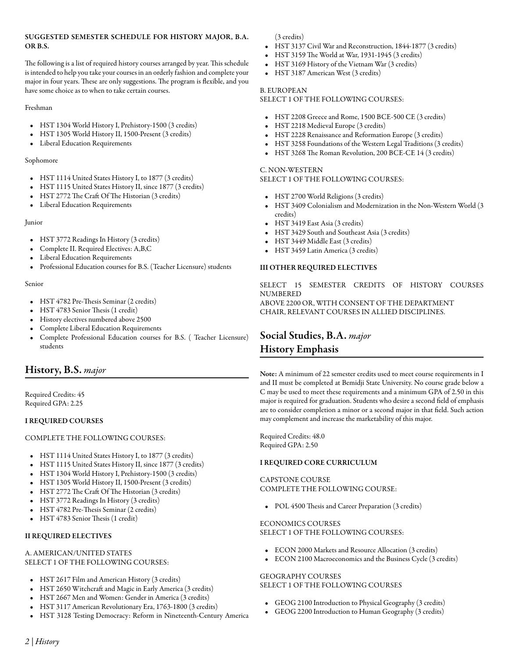# SUGGESTED SEMESTER SCHEDULE FOR HISTORY MAJOR, B.A. OR B.S.

The following is a list of required history courses arranged by year. This schedule is intended to help you take your courses in an orderly fashion and complete your major in four years. These are only suggestions. The program is flexible, and you have some choice as to when to take certain courses.

# Freshman

- HST 1304 [World History I, Prehistory-1500](/academics/catalog/20145/courses/hst/1304) (3 credits)
- HST 1305 [World History II, 1500-Present](/academics/catalog/20145/courses/hst/1305) (3 credits)
- Liberal Education Requirements

# Sophomore

- HST 1114 [United States History I, to 1877](/academics/catalog/20145/courses/hst/1114) (3 credits)
- HST 1115 [United States History II, since 1877](/academics/catalog/20145/courses/hst/1115) (3 credits)
- HST 2772 [The Craft Of The Historian](/academics/catalog/20145/courses/hst/2772) (3 credits)
- Liberal Education Requirements

# Junior

- HST 3772 [Readings In History](/academics/catalog/20145/courses/hst/3772) (3 credits)
- Complete II. Required Electives: A,B,C
- Liberal Education Requirements
- Professional Education courses for B.S. (Teacher Licensure) students

# Senior

- HST 4782 [Pre-Thesis Seminar](/academics/catalog/20145/courses/hst/4782) (2 credits)
- HST 4783 [Senior Thesis](/academics/catalog/20145/courses/hst/4783) (1 credit)
- History electives numbered above 2500
- Complete Liberal Education Requirements
- Complete Professional Education courses for B.S. ( Teacher Licensure) students

# History, B.S. *major*

Required Credits: 45 Required GPA: 2.25

# I REQUIRED COURSES

# COMPLETE THE FOLLOWING COURSES:

- HST 1114 [United States History I, to 1877](/academics/catalog/20145/courses/hst/1114) (3 credits)
- HST 1115 [United States History II, since 1877](/academics/catalog/20145/courses/hst/1115) (3 credits)
- HST 1304 [World History I, Prehistory-1500](/academics/catalog/20145/courses/hst/1304) (3 credits)
- HST 1305 [World History II, 1500-Present](/academics/catalog/20145/courses/hst/1305) (3 credits)
- HST 2772 [The Craft Of The Historian](/academics/catalog/20145/courses/hst/2772) (3 credits)
- HST 3772 [Readings In History](/academics/catalog/20145/courses/hst/3772) (3 credits)
- HST 4782 [Pre-Thesis Seminar](/academics/catalog/20145/courses/hst/4782) (2 credits)
- HST 4783 [Senior Thesis](/academics/catalog/20145/courses/hst/4783) (1 credit)

# II REQUIRED ELECTIVES

# A. AMERICAN/UNITED STATES SELECT 1 OF THE FOLLOWING COURSES:

- HST 2617 [Film and American History](/academics/catalog/20145/courses/hst/2617) (3 credits)
- HST 2650 [Witchcraft and Magic in Early America](/academics/catalog/20145/courses/hst/2650) (3 credits)
- HST 2667 [Men and Women: Gender in America](/academics/catalog/20145/courses/hst/2667) (3 credits)
- HST 3117 [American Revolutionary Era, 1763-1800](/academics/catalog/20145/courses/hst/3117) (3 credits)
- HST 3128 [Testing Democracy: Reform in Nineteenth-Century America](/academics/catalog/20145/courses/hst/3128)

(3 credits)

- HST 3137 [Civil War and Reconstruction, 1844-1877](/academics/catalog/20145/courses/hst/3137) (3 credits)
- HST 3159 [The World at War, 1931-1945](/academics/catalog/20145/courses/hst/3159) (3 credits)
- HST 3169 [History of the Vietnam War](/academics/catalog/20145/courses/hst/3169) (3 credits)
- HST 3187 [American West](/academics/catalog/20145/courses/hst/3187) (3 credits)

# B. EUROPEAN

# SELECT 1 OF THE FOLLOWING COURSES:

- HST 2208 [Greece and Rome, 1500 BCE-500 CE](/academics/catalog/20145/courses/hst/2208) (3 credits)
- HST 2218 [Medieval Europe](/academics/catalog/20145/courses/hst/2218) (3 credits)
- HST 2228 [Renaissance and Reformation Europe](/academics/catalog/20145/courses/hst/2228) (3 credits)
- HST 3258 [Foundations of the Western Legal Traditions](/academics/catalog/20145/courses/hst/3258) (3 credits)
- HST 3268 [The Roman Revolution, 200 BCE-CE 14](/academics/catalog/20145/courses/hst/3268) (3 credits)

# C. NON-WESTERN

# SELECT 1 OF THE FOLLOWING COURSES:

- HST 2700 [World Religions](/academics/catalog/20145/courses/hst/2700) (3 credits)
- HST 3409 [Colonialism and Modernization in the Non-Western World](/academics/catalog/20145/courses/hst/3409) (3 credits)
- HST 3419 [East Asia](/academics/catalog/20145/courses/hst/3419) (3 credits)
- HST 3429 [South and Southeast Asia](/academics/catalog/20145/courses/hst/3429) (3 credits)
- HST 3449 [Middle East](/academics/catalog/20145/courses/hst/3449) (3 credits)
- HST 3459 [Latin America](/academics/catalog/20145/courses/hst/3459) (3 credits)

# III OTHER REQUIRED ELECTIVES

SELECT 15 SEMESTER CREDITS OF HISTORY COURSES NUMBERED ABOVE 2200 OR, WITH CONSENT OF THE DEPARTMENT CHAIR, RELEVANT COURSES IN ALLIED DISCIPLINES.

# Social Studies, B.A. *major* History Emphasis

Note: A minimum of 22 semester credits used to meet course requirements in I and II must be completed at Bemidji State University. No course grade below a C may be used to meet these requirements and a minimum GPA of 2.50 in this major is required for graduation. Students who desire a second field of emphasis are to consider completion a minor or a second major in that field. Such action may complement and increase the marketability of this major.

Required Credits: 48.0 Required GPA: 2.50

# I REQUIRED CORE CURRICULUM

# CAPSTONE COURSE COMPLETE THE FOLLOWING COURSE:

• POL 4500 [Thesis and Career Preparation](/academics/catalog/20145/courses/pol/4500) (3 credits)

# ECONOMICS COURSES

SELECT 1 OF THE FOLLOWING COURSES:

- ECON 2000 [Markets and Resource Allocation](/academics/catalog/20145/courses/econ/2000) (3 credits)
- ECON 2100 [Macroeconomics and the Business Cycle](/academics/catalog/20145/courses/econ/2100) (3 credits)

# GEOGRAPHY COURSES

# SELECT 1 OF THE FOLLOWING COURSES

- GEOG 2100 [Introduction to Physical Geography](/academics/catalog/20145/courses/geog/2100) (3 credits)
- GEOG 2200 [Introduction to Human Geography](/academics/catalog/20145/courses/geog/2200) (3 credits)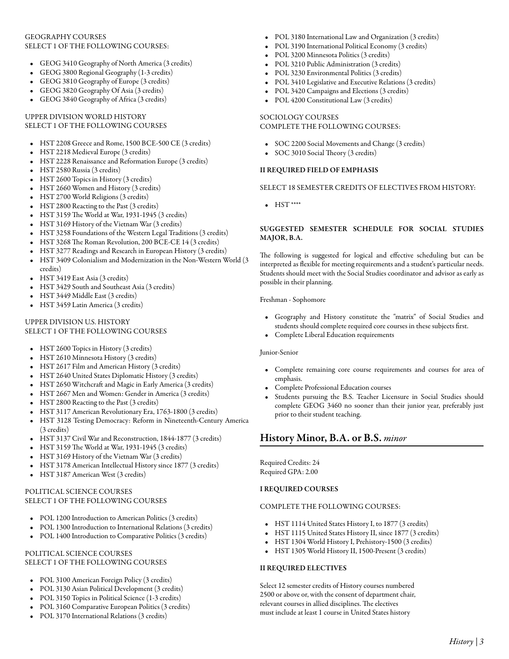# GEOGRAPHY COURSES SELECT 1 OF THE FOLLOWING COURSES:

- GEOG 3410 [Geography of North America](/academics/catalog/20145/courses/geog/3410) (3 credits)
- GEOG 3800 [Regional Geography](/academics/catalog/20145/courses/geog/3800) (1-3 credits)
- GEOG 3810 [Geography of Europe](/academics/catalog/20145/courses/geog/3810) (3 credits)
- GEOG 3820 [Geography Of Asia](/academics/catalog/20145/courses/geog/3820) (3 credits)
- GEOG 3840 [Geography of Africa](/academics/catalog/20145/courses/geog/3840) (3 credits)

#### UPPER DIVISION WORLD HISTORY SELECT 1 OF THE FOLLOWING COURSES

- HST 2208 [Greece and Rome, 1500 BCE-500 CE](/academics/catalog/20145/courses/hst/2208) (3 credits)
- HST 2218 [Medieval Europe](/academics/catalog/20145/courses/hst/2218) (3 credits)
- HST 2228 [Renaissance and Reformation Europe](/academics/catalog/20145/courses/hst/2228) (3 credits)
- HST 2580 [Russia](/academics/catalog/20145/courses/hst/2580) (3 credits)
- HST 2600 [Topics in History](/academics/catalog/20145/courses/hst/2600) (3 credits)
- HST 2660 [Women and History](/academics/catalog/20145/courses/hst/2660) (3 credits)
- HST 2700 [World Religions](/academics/catalog/20145/courses/hst/2700) (3 credits)
- HST 2800 [Reacting to the Past](/academics/catalog/20145/courses/hst/2800) (3 credits)
- HST 3159 [The World at War, 1931-1945](/academics/catalog/20145/courses/hst/3159) (3 credits)
- HST 3169 [History of the Vietnam War](/academics/catalog/20145/courses/hst/3169) (3 credits)
- HST 3258 [Foundations of the Western Legal Traditions](/academics/catalog/20145/courses/hst/3258) (3 credits)
- HST 3268 [The Roman Revolution, 200 BCE-CE 14](/academics/catalog/20145/courses/hst/3268) (3 credits)
- HST 3277 [Readings and Research in European History](/academics/catalog/20145/courses/hst/3277) (3 credits)
- HST 3409 [Colonialism and Modernization in the Non-Western World](/academics/catalog/20145/courses/hst/3409) (3 credits)
- HST 3419 [East Asia](/academics/catalog/20145/courses/hst/3419) (3 credits)
- HST 3429 [South and Southeast Asia](/academics/catalog/20145/courses/hst/3429) (3 credits)
- HST 3449 [Middle East](/academics/catalog/20145/courses/hst/3449) (3 credits)
- HST 3459 [Latin America](/academics/catalog/20145/courses/hst/3459) (3 credits)

#### UPPER DIVISION U.S. HISTORY SELECT 1 OF THE FOLLOWING COURSES

- HST 2600 [Topics in History](/academics/catalog/20145/courses/hst/2600) (3 credits)
- HST 2610 [Minnesota History](/academics/catalog/20145/courses/hst/2610) (3 credits)
- HST 2617 [Film and American History](/academics/catalog/20145/courses/hst/2617) (3 credits)
- HST 2640 [United States Diplomatic History](/academics/catalog/20145/courses/hst/2640) (3 credits)
- HST 2650 [Witchcraft and Magic in Early America](/academics/catalog/20145/courses/hst/2650) (3 credits)
- HST 2667 [Men and Women: Gender in America](/academics/catalog/20145/courses/hst/2667) (3 credits)
- HST 2800 [Reacting to the Past](/academics/catalog/20145/courses/hst/2800) (3 credits)
- HST 3117 [American Revolutionary Era, 1763-1800](/academics/catalog/20145/courses/hst/3117) (3 credits)
- HST 3128 [Testing Democracy: Reform in Nineteenth-Century America](/academics/catalog/20145/courses/hst/3128) (3 credits)
- HST 3137 [Civil War and Reconstruction, 1844-1877](/academics/catalog/20145/courses/hst/3137) (3 credits)
- HST 3159 [The World at War, 1931-1945](/academics/catalog/20145/courses/hst/3159) (3 credits)
- HST 3169 [History of the Vietnam War](/academics/catalog/20145/courses/hst/3169) (3 credits)
- HST 3178 [American Intellectual History since 1877](/academics/catalog/20145/courses/hst/3178) (3 credits)
- HST 3187 [American West](/academics/catalog/20145/courses/hst/3187) (3 credits)

# POLITICAL SCIENCE COURSES SELECT 1 OF THE FOLLOWING COURSES

- POL 1200 [Introduction to American Politics](/academics/catalog/20145/courses/pol/1200) (3 credits)
- POL 1300 [Introduction to International Relations](/academics/catalog/20145/courses/pol/1300) (3 credits)
- POL 1400 [Introduction to Comparative Politics](/academics/catalog/20145/courses/pol/1400) (3 credits)

# POLITICAL SCIENCE COURSES SELECT 1 OF THE FOLLOWING COURSES

- POL 3100 [American Foreign Policy](/academics/catalog/20145/courses/pol/3100) (3 credits)
- POL 3130 [Asian Political Development](/academics/catalog/20145/courses/pol/3130) (3 credits)
- POL 3150 [Topics in Political Science](/academics/catalog/20145/courses/pol/3150) (1-3 credits)
- POL 3160 [Comparative European Politics](/academics/catalog/20145/courses/pol/3160) (3 credits)
- POL 3170 [International Relations](/academics/catalog/20145/courses/pol/3170) (3 credits)
- POL 3180 [International Law and Organization](/academics/catalog/20145/courses/pol/3180) (3 credits)
- POL 3190 [International Political Economy](/academics/catalog/20145/courses/pol/3190) (3 credits)
- POL 3200 [Minnesota Politics](/academics/catalog/20145/courses/pol/3200) (3 credits)
- POL 3210 [Public Administration](/academics/catalog/20145/courses/pol/3210) (3 credits)
- POL 3230 [Environmental Politics](/academics/catalog/20145/courses/pol/3230) (3 credits)
- POL 3410 [Legislative and Executive Relations](/academics/catalog/20145/courses/pol/3410) (3 credits)
- POL 3420 [Campaigns and Elections](/academics/catalog/20145/courses/pol/3420) (3 credits)
- POL 4200 [Constitutional Law](/academics/catalog/20145/courses/pol/4200) (3 credits)

# SOCIOLOGY COURSES COMPLETE THE FOLLOWING COURSES:

- SOC 2200 [Social Movements and Change](/academics/catalog/20145/courses/soc/2200) (3 credits)
- SOC 3010 [Social Theory](/academics/catalog/20145/courses/soc/3010) (3 credits)

# II REQUIRED FIELD OF EMPHASIS

#### SELECT 18 SEMESTER CREDITS OF ELECTIVES FROM HISTORY:

• HST \*\*\*\*

# SUGGESTED SEMESTER SCHEDULE FOR SOCIAL STUDIES MAJOR, B.A.

The following is suggested for logical and effective scheduling but can be interpreted as flexible for meeting requirements and a student's particular needs. Students should meet with the Social Studies coordinator and advisor as early as possible in their planning.

Freshman - Sophomore

- Geography and History constitute the "matrix" of Social Studies and students should complete required core courses in these subjects first.
- Complete Liberal Education requirements

#### Junior-Senior

- Complete remaining core course requirements and courses for area of emphasis.
- Complete Professional Education courses
- Students pursuing the B.S. Teacher Licensure in Social Studies should complete GEOG 3460 no sooner than their junior year, preferably just prior to their student teaching.

# History Minor, B.A. or B.S. *minor*

Required Credits: 24 Required GPA: 2.00

#### I REQUIRED COURSES

#### COMPLETE THE FOLLOWING COURSES:

- HST 1114 [United States History I, to 1877](/academics/catalog/20145/courses/hst/1114) (3 credits)
- HST 1115 [United States History II, since 1877](/academics/catalog/20145/courses/hst/1115) (3 credits)
- HST 1304 [World History I, Prehistory-1500](/academics/catalog/20145/courses/hst/1304) (3 credits)
- HST 1305 [World History II, 1500-Present](/academics/catalog/20145/courses/hst/1305) (3 credits)

# II REQUIRED ELECTIVES

Select 12 semester credits of History courses numbered 2500 or above or, with the consent of department chair, relevant courses in allied disciplines. The electives must include at least 1 course in United States history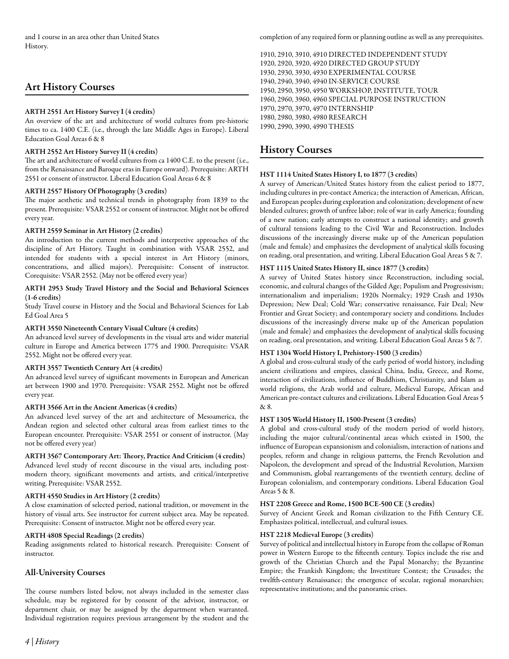# Art History Courses

# ARTH 2551 Art History Survey I (4 credits)

An overview of the art and architecture of world cultures from pre-historic times to ca. 1400 C.E. (i.e., through the late Middle Ages in Europe). Liberal Education Goal Areas 6 & 8

# ARTH 2552 Art History Survey II (4 credits)

The art and architecture of world cultures from ca 1400 C.E. to the present (i.e., from the Renaissance and Baroque eras in Europe onward). Prerequisite: ARTH 2551 or consent of instructor. Liberal Education Goal Areas 6 & 8

# ARTH 2557 History Of Photography (3 credits)

The major aesthetic and technical trends in photography from 1839 to the present. Prerequisite: VSAR 2552 or consent of instructor. Might not be offered every year.

# ARTH 2559 Seminar in Art History (2 credits)

An introduction to the current methods and interpretive approaches of the discipline of Art History. Taught in combination with VSAR 2552, and intended for students with a special interest in Art History (minors, concentrations, and allied majors). Prerequisite: Consent of instructor. Corequisite: VSAR 2552. (May not be offered every year)

# ARTH 2953 Study Travel History and the Social and Behavioral Sciences (1-6 credits)

Study Travel course in History and the Social and Behavioral Sciences for Lab Ed Goal Area 5

# ARTH 3550 Nineteenth Century Visual Culture (4 credits)

An advanced level survey of developments in the visual arts and wider material culture in Europe and America between 1775 and 1900. Prerequisite: VSAR 2552. Might not be offered every year.

# ARTH 3557 Twentieth Century Art (4 credits)

An advanced level survey of significant movements in European and American art between 1900 and 1970. Prerequisite: VSAR 2552. Might not be offered every year.

# ARTH 3566 Art in the Ancient Americas (4 credits)

An advanced level survey of the art and architecture of Mesoamerica, the Andean region and selected other cultural areas from earliest times to the European encounter. Prerequisite: VSAR 2551 or consent of instructor. (May not be offered every year)

ARTH 3567 Contemporary Art: Theory, Practice And Criticism (4 credits) Advanced level study of recent discourse in the visual arts, including postmodern theory, significant movements and artists, and critical/interpretive writing. Prerequisite: VSAR 2552.

# ARTH 4550 Studies in Art History (2 credits)

A close examination of selected period, national tradition, or movement in the history of visual arts. See instructor for current subject area. May be repeated. Prerequisite: Consent of instructor. Might not be offered every year.

# ARTH 4808 Special Readings (2 credits)

Reading assignments related to historical research. Prerequisite: Consent of instructor.

# All-University Courses

The course numbers listed below, not always included in the semester class schedule, may be registered for by consent of the advisor, instructor, or department chair, or may be assigned by the department when warranted. Individual registration requires previous arrangement by the student and the completion of any required form or planning outline as well as any prerequisites.

1910, 2910, 3910, 4910 DIRECTED INDEPENDENT STUDY 1920, 2920, 3920, 4920 DIRECTED GROUP STUDY 1930, 2930, 3930, 4930 EXPERIMENTAL COURSE 1940, 2940, 3940, 4940 IN-SERVICE COURSE 1950, 2950, 3950, 4950 WORKSHOP, INSTITUTE, TOUR 1960, 2960, 3960, 4960 SPECIAL PURPOSE INSTRUCTION 1970, 2970, 3970, 4970 INTERNSHIP 1980, 2980, 3980, 4980 RESEARCH 1990, 2990, 3990, 4990 THESIS

# History Courses

# HST 1114 United States History I, to 1877 (3 credits)

A survey of American/United States history from the ealiest period to 1877, including cultures in pre-contact America; the interaction of American, African, and European peoples during exploration and colonization; development of new blended cultures; growth of unfree labor; role of war in early America; founding of a new nation; early attempts to construct a national identity; and growth of cultural tensions leading to the Civil War and Reconstruction. Includes discussions of the increasingly diverse make up of the American population (male and female) and emphasizes the development of analytical skills focusing on reading, oral presentation, and writing. Liberal Education Goal Areas 5 & 7.

# HST 1115 United States History II, since 1877 (3 credits)

A survey of United States history since Reconstruction, including social, economic, and cultural changes of the Gilded Age; Populism and Progressivism; internationalism and imperialism; 1920s Normalcy; 1929 Crash and 1930s Depression; New Deal; Cold War; conservative renaissance, Fair Deal; New Frontier and Great Society; and contemporary society and conditions. Includes discussions of the increasingly diverse make up of the American population (male and female) and emphasizes the development of analytical skills focusing on reading, oral presentation, and writing. Liberal Education Goal Areas 5 & 7.

# HST 1304 World History I, Prehistory-1500 (3 credits)

A global and cross-cultural study of the early period of world history, including ancient civilizations and empires, classical China, India, Greece, and Rome, interaction of civilizations, influence of Buddhism, Christianity, and Islam as world religions, the Arab world and culture, Medieval Europe, African and American pre-contact cultures and civilizations. Liberal Education Goal Areas 5 & 8.

# HST 1305 World History II, 1500-Present (3 credits)

A global and cross-cultural study of the modern period of world history, including the major cultural/continental areas which existed in 1500, the influence of European expansionism and colonialism, interaction of nations and peoples, reform and change in religious patterns, the French Revolution and Napoleon, the development and spread of the Industrial Revolution, Marxism and Communism, global rearrangements of the twentieth century, decline of European colonialism, and contemporary conditions. Liberal Education Goal Areas 5 & 8.

# HST 2208 Greece and Rome, 1500 BCE-500 CE (3 credits)

Survey of Ancient Greek and Roman civilization to the Fifth Century CE. Emphasizes political, intellectual, and cultural issues.

# HST 2218 Medieval Europe (3 credits)

Survey of political and intellectual history in Europe from the collapse of Roman power in Western Europe to the fifteenth century. Topics include the rise and growth of the Christian Church and the Papal Monarchy; the Byzantine Empire; the Frankish Kingdom; the Investiture Contest; the Crusades; the twelfth-century Renaissance; the emergence of secular, regional monarchies; representative institutions; and the panoramic crises.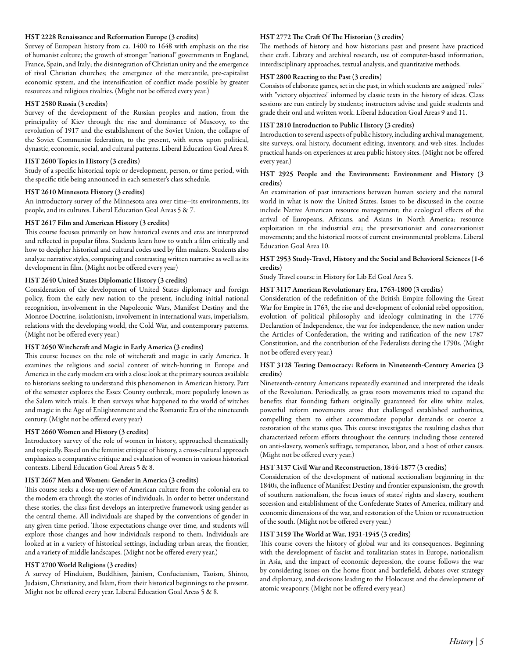# HST 2228 Renaissance and Reformation Europe (3 credits)

Survey of European history from ca. 1400 to 1648 with emphasis on the rise of humanist culture; the growth of stronger "national" governments in England, France, Spain, and Italy; the disintegration of Christian unity and the emergence of rival Christian churches; the emergence of the mercantile, pre-capitalist economic system, and the intensification of conflict made possible by greater resources and religious rivalries. (Might not be offered every year.)

# HST 2580 Russia (3 credits)

Survey of the development of the Russian peoples and nation, from the principality of Kiev through the rise and dominance of Muscovy, to the revolution of 1917 and the establishment of the Soviet Union, the collapse of the Soviet Communist federation, to the present, with stress upon political, dynastic, economic, social, and cultural patterns. Liberal Education Goal Area 8.

#### HST 2600 Topics in History (3 credits)

Study of a specific historical topic or development, person, or time period, with the specific title being announced in each semester's class schedule.

# HST 2610 Minnesota History (3 credits)

An introductory survey of the Minnesota area over time--its environments, its people, and its cultures. Liberal Education Goal Areas 5 & 7.

# HST 2617 Film and American History (3 credits)

This course focuses primarily on how historical events and eras are interpreted and reflected in popular films. Students learn how to watch a film critically and how to decipher historical and cultural codes used by film makers. Students also analyze narrative styles, comparing and contrasting written narrative as well as its development in film. (Might not be offered every year)

# HST 2640 United States Diplomatic History (3 credits)

Consideration of the development of United States diplomacy and foreign policy, from the early new nation to the present, including initial national recognition, involvement in the Napoleonic Wars, Manifest Destiny and the Monroe Doctrine, isolationism, involvement in international wars, imperialism, relations with the developing world, the Cold War, and contemporary patterns. (Might not be offered every year.)

# HST 2650 Witchcraft and Magic in Early America (3 credits)

This course focuses on the role of witchcraft and magic in early America. It examines the religious and social context of witch-hunting in Europe and America in the early modem era with a close look at the primary sources available to historians seeking to understand this phenomenon in American history. Part of the semester explores the Essex County outbreak, more popularly known as the Salem witch trials. It then surveys what happened to the world of witches and magic in the Age of Enlightenment and the Romantic Era of the nineteenth century. (Might not be offered every year)

#### HST 2660 Women and History (3 credits)

Introductory survey of the role of women in history, approached thematically and topically. Based on the feminist critique of history, a cross-cultural approach emphasizes a comparative critique and evaluation of women in various historical contexts. Liberal Education Goal Areas 5 & 8.

# HST 2667 Men and Women: Gender in America (3 credits)

This course seeks a close-up view of American culture from the colonial era to the modem era through the stories of individuals. In order to better understand these stories, the class first develops an interpretive framework using gender as the central theme. All individuals are shaped by the conventions of gender in any given time period. Those expectations change over time, and students will explore those changes and how individuals respond to them. Individuals are looked at in a variety of historical settings, including urban areas, the frontier, and a variety of middle landscapes. (Might not be offered every year.)

# HST 2700 World Religions (3 credits)

A survey of Hinduism, Buddhism, Jainism, Confucianism, Taoism, Shinto, Judaism, Christianity, and Islam, from their historical beginnings to the present. Might not be offered every year. Liberal Education Goal Areas 5 & 8.

#### HST 2772 The Craft Of The Historian (3 credits)

The methods of history and how historians past and present have practiced their craft. Library and archival research, use of computer-based information, interdisciplinary approaches, textual analysis, and quantitative methods.

# HST 2800 Reacting to the Past (3 credits)

Consists of elaborate games, set in the past, in which students are assigned "roles" with "victory objectives" informed by classic texts in the history of ideas. Class sessions are run entirely by students; instructors advise and guide students and grade their oral and written work. Liberal Education Goal Areas 9 and 11.

#### HST 2810 Introduction to Public History (3 credits)

Introduction to several aspects of public history, including archival management, site surveys, oral history, document editing, inventory, and web sites. Includes practical hands-on experiences at area public history sites. (Might not be offered every year.)

# HST 2925 People and the Environment: Environment and History (3 credits)

An examination of past interactions between human society and the natural world in what is now the United States. Issues to be discussed in the course include Native American resource management; the ecological effects of the arrival of Europeans, Africans, and Asians in North America; resource exploitation in the industrial era; the preservationist and conservationist movements; and the historical roots of current environmental problems. Liberal Education Goal Area 10.

# HST 2953 Study-Travel, History and the Social and Behavioral Sciences (1-6 credits)

Study Travel course in History for Lib Ed Goal Area 5.

# HST 3117 American Revolutionary Era, 1763-1800 (3 credits)

Consideration of the redefinition of the British Empire following the Great War for Empire in 1763, the rise and development of colonial rebel opposition, evolution of political philosophy and ideology culminating in the 1776 Declaration of Independence, the war for independence, the new nation under the Articles of Confederation, the writing and ratification of the new 1787 Constitution, and the contribution of the Federalists during the 1790s. (Might not be offered every year.)

# HST 3128 Testing Democracy: Reform in Nineteenth-Century America (3 credits)

Nineteenth-century Americans repeatedly examined and interpreted the ideals of the Revolution. Periodically, as grass roots movements tried to expand the benefits that founding fathers originally guaranteed for elite white males, powerful reform movements arose that challenged established authorities, compelling them to either accommodate popular demands or coerce a restoration of the status quo. This course investigates the resulting clashes that characterized reform efforts throughout the century, including those centered on anti-slavery, women's suffrage, temperance, labor, and a host of other causes. (Might not be offered every year.)

#### HST 3137 Civil War and Reconstruction, 1844-1877 (3 credits)

Consideration of the development of national sectionalism beginning in the 1840s, the influence of Manifest Destiny and frontier expansionism, the growth of southern nationalism, the focus issues of states' rights and slavery, southern secession and establishment of the Confederate States of America, military and economic dimensions of the war, and restoration of the Union or reconstruction of the south. (Might not be offered every year.)

# HST 3159 The World at War, 1931-1945 (3 credits)

This course covers the history of global war and its consequences. Beginning with the development of fascist and totalitarian states in Europe, nationalism in Asia, and the impact of economic depression, the course follows the war by considering issues on the home front and battlefield, debates over strategy and diplomacy, and decisions leading to the Holocaust and the development of atomic weaponry. (Might not be offered every year.)